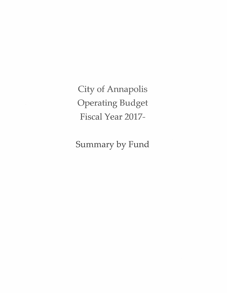**City of Annapolis Operating Budget** Fiscal Year 2017-

Summary by Fund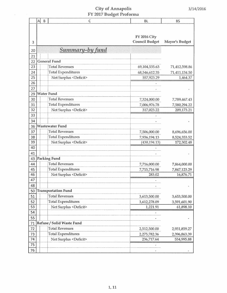#### City of Annapolis 3/14/2016 2017 Budget Proforma

 $\label{eq:1} \frac{1}{\sqrt{2}}\sum_{i=1}^n\frac{1}{\sqrt{2}}\left(\frac{1}{\sqrt{2}}\sum_{i=1}^n\frac{1}{\sqrt{2}}\right)^2\left(\frac{1}{\sqrt{2}}\sum_{i=1}^n\frac{1}{\sqrt{2}}\right)^2.$ 

|    | A<br>B | $\mathsf{C}$                    | <b>BL</b>                                    | <b>BS</b>      |
|----|--------|---------------------------------|----------------------------------------------|----------------|
| 3  |        |                                 | <b>FY 2016 City</b><br><b>Council Budget</b> | Mayor's Budget |
| 20 |        | <u>Summary-by fund</u>          |                                              |                |
| 21 |        |                                 |                                              |                |
| 22 |        | <b>General Fund</b>             |                                              |                |
| 23 |        | <b>Total Revenues</b>           | 69,104,535.63                                | 71,412,598.86  |
| 24 |        | <b>Total Expenditures</b>       | 68,546,612.35                                | 71,411,134.50  |
| 25 |        | Net Surplus <deficit></deficit> | 557,923.29                                   | 1,464.37       |
| 26 |        |                                 |                                              |                |
| 27 |        |                                 |                                              |                |
| 29 |        | <b>Water Fund</b>               |                                              |                |
| 30 |        | <b>Total Revenues</b>           | 7,324,000.00                                 | 7,789,467.43   |
| 31 |        | <b>Total Expenditures</b>       | 7,006,976.78                                 | 7,580,294.22   |
| 32 |        | Net Surplus <deficit></deficit> | 317,023.22                                   | 209,173.21     |
| 33 |        |                                 |                                              |                |
| 34 |        |                                 |                                              |                |
| 36 |        | <b>Wastewater Fund</b>          |                                              |                |
| 37 |        | <b>Total Revenues</b>           | 7,506,000.00                                 | 8,696,656.00   |
| 38 |        | <b>Total Expenditures</b>       | 7,936,194.13                                 | 8,524,353.52   |
| 39 |        | Net Surplus <deficit></deficit> | (430, 194.13)                                | 172,302.48     |
| 40 |        |                                 |                                              |                |
| 41 |        |                                 |                                              |                |
| 43 |        | <b>Parking Fund</b>             |                                              |                |
| 44 |        | <b>Total Revenues</b>           | 7,716,000.00                                 | 7,864,000.00   |
| 45 |        | <b>Total Expenditures</b>       | 7,715,716.98                                 | 7,847,123.29   |
| 46 |        | Net Surplus <deficit></deficit> | 283.02                                       | 16,876.71      |
| 47 |        |                                 |                                              |                |
| 48 |        |                                 |                                              |                |
| 50 |        | <b>Transportation Fund</b>      |                                              |                |
| 51 |        | <b>Total Revenues</b>           | 3,613,500.00                                 | 3,653,500.00   |
| 52 |        | <b>Total Expenditures</b>       | 3,612,278.09                                 | 3,591,601.90   |
| 53 |        | Net Surplus <deficit></deficit> | 1,221.91                                     | 61,898.10      |
| 54 |        |                                 |                                              |                |
| 55 |        |                                 |                                              |                |
| 71 |        | Refuse / Solid Waste Fund       |                                              |                |
| 72 |        | <b>Total Revenues</b>           | 2,512,500.00                                 | 2,931,859.27   |
| 73 |        | <b>Total Expenditures</b>       | 2,275,782.36                                 | 2,396,863.39   |
| 74 |        | Net Surplus <deficit></deficit> | 236,717.64                                   | 534,995.88     |
| 75 |        |                                 |                                              |                |
| 76 |        |                                 |                                              |                |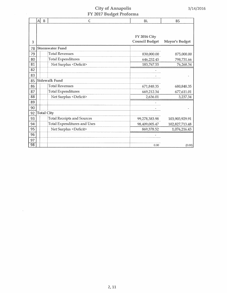#### of Annapolis 3/14/2016 2017 Budget Proform

 $\label{eq:2.1} \mathcal{L}_{\text{max}} = \mathcal{L}_{\text{max}} \left( \mathcal{L}_{\text{max}} \right)$ 

 $\sim$ 

|    | A | $\mathsf B$       | C                                  | BL                    | <b>BS</b>      |
|----|---|-------------------|------------------------------------|-----------------------|----------------|
|    |   |                   |                                    | <b>FY 2016 City</b>   |                |
| 3  |   |                   |                                    | <b>Council Budget</b> | Mayor's Budget |
| 78 |   |                   | Stormwater Fund                    |                       |                |
| 79 |   |                   | <b>Total Revenues</b>              | 830,000.00            | 875,000.00     |
| 80 |   |                   | <b>Total Expenditures</b>          | 646,232.45            | 798,731.66     |
| 81 |   |                   | Net Surplus <deficit></deficit>    | 183,767.55            | 76,268.34      |
| 82 |   |                   |                                    |                       |                |
| 83 |   |                   |                                    |                       |                |
| 85 |   |                   | Sidewalk Fund                      |                       |                |
| 86 |   |                   | <b>Total Revenues</b>              | 671,848.35            | 680,848.35     |
| 87 |   |                   | <b>Total Expenditures</b>          | 669,212.34            | 677,611.01     |
| 88 |   |                   | Net Surplus <deficit></deficit>    | 2,636.01              | 3,237.34       |
| 89 |   |                   |                                    |                       |                |
| 90 |   |                   |                                    |                       |                |
| 92 |   | <b>Total City</b> |                                    |                       |                |
| 93 |   |                   | <b>Total Receipts and Sources</b>  | 99,278,383.98         | 103,903,929.91 |
| 94 |   |                   | <b>Total Expenditures and Uses</b> | 98,409,005.47         | 102,827,713.48 |
| 95 |   |                   | Net Surplus <deficit></deficit>    | 869,378.52            | 1,076,216.43   |
| 96 |   |                   |                                    |                       |                |
| 97 |   |                   |                                    |                       |                |
| 98 |   |                   |                                    | 0.00                  | (0.00)         |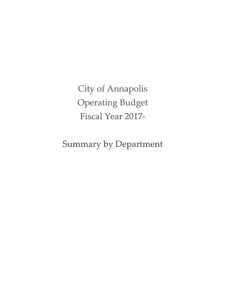City of Annapolis **Operating Budget** Fiscal Year 2017-

### **Summary by Department**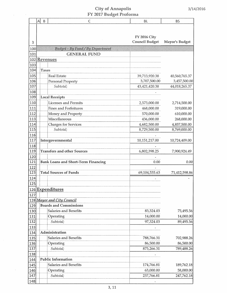#### City of Annapolis 3/14/2016 2017 Budget

 $\chi_{\rm{max}}=0.1$ 

 $\ddot{\phantom{0}}$ 

|            | A | $\mathsf B$ | $\mathsf{C}$                                                   | BL                                           | <b>BS</b>      |
|------------|---|-------------|----------------------------------------------------------------|----------------------------------------------|----------------|
|            |   |             |                                                                |                                              |                |
|            |   |             |                                                                |                                              |                |
|            |   |             |                                                                | <b>FY 2016 City</b><br><b>Council Budget</b> | Mayor's Budget |
| 3          |   |             |                                                                |                                              |                |
| 100<br>101 |   |             | <b>Budget - By Fund / By Department</b><br><b>GENERAL FUND</b> |                                              |                |
| 102        |   |             | Revenues                                                       |                                              |                |
| 103        |   |             |                                                                |                                              |                |
| 104        |   | Taxes       |                                                                |                                              |                |
| 105        |   |             | <b>Real Estate</b>                                             | 39,713,920.38                                | 40,560,765.37  |
| 106        |   |             | Personal Property                                              | 3,707,500.00                                 | 3,457,500.00   |
| 107        |   |             | Subtotal;                                                      | 43,421,420.38                                | 44,018,265.37  |
| 108        |   |             |                                                                |                                              |                |
| 109        |   |             | <b>Local Receipts</b>                                          |                                              |                |
| 110        |   |             | <b>Licenses and Permits</b>                                    | 2,573,000.00                                 | 2,714,500.00   |
| 111        |   |             | <b>Fines and Forfeitures</b>                                   | 468,000.00                                   | 319,000.00     |
| 112        |   |             | Money and Property                                             | 570,000.00                                   | 610,000.00     |
| 113        |   |             | Miscellaneous                                                  | 436,000.00                                   | 268,000.00     |
| 114        |   |             | <b>Charges for Services</b>                                    | 4,682,500.00                                 | 4,857,500.00   |
| 115        |   |             | Subtotal;                                                      | 8,729,500.00                                 | 8,769,000.00   |
| 116        |   |             |                                                                |                                              |                |
| 117        |   |             | Intergovernmental                                              | 10,151,217.00                                | 10,724,409.00  |
| 118        |   |             |                                                                |                                              |                |
| 119        |   |             | <b>Transfers and other Sources</b>                             | 6,802,398.25                                 | 7,900,924.49   |
| 120        |   |             |                                                                |                                              |                |
| 121        |   |             | <b>Bank Loans and Short-Term Financing</b>                     | 0.00                                         | 0.00           |
| 122        |   |             |                                                                |                                              |                |
| 123        |   |             | <b>Total Sources of Funds</b>                                  | 69,104,535.63                                | 71,412,598.86  |
| 124        |   |             |                                                                |                                              |                |
| 125        |   |             |                                                                |                                              |                |
| 126        |   |             | Expenditures                                                   |                                              |                |
| 127        |   |             |                                                                |                                              |                |
|            |   |             | 128 Mayor and City Council                                     |                                              |                |
| 129        |   |             | <b>Boards and Commissions</b>                                  |                                              |                |
| 130        |   |             | Salaries and Benefits                                          | 83,324.03                                    | 75,495.56      |
| 131        |   |             | Operating                                                      | 14,000.00                                    | 14,000.00      |
| 132        |   |             | Subtotal;                                                      | 97,324.03                                    | 89,495.56      |
| 133        |   |             |                                                                |                                              |                |
| 134        |   |             | Administration                                                 |                                              |                |
| 135        |   |             | Salaries and Benefits                                          | 788,766.31                                   | 702,988.26     |
| 136        |   |             | Operating                                                      | 86,500.00                                    | 86,500.00      |
| 137        |   |             | Subtotal;                                                      | 875,266.31                                   | 789,488.26     |
| 138        |   |             |                                                                |                                              |                |
| 144        |   |             | <b>Public Information</b>                                      |                                              |                |
| 145        |   |             | Salaries and Benefits                                          | 174,766.81                                   | 189,762.18     |
| 146        |   |             | Operating                                                      | 63,000.00                                    | 58,000.00      |
| 147        |   |             | Subtotal;                                                      | 237,766.81                                   | 247,762.18     |
| 148        |   |             |                                                                |                                              |                |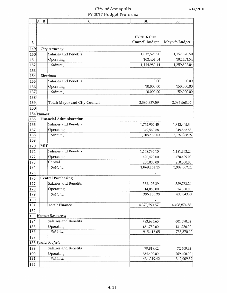## City of Annapolis<br>FY 2017 Budget Proforma

 $\label{eq:2.1} \frac{1}{\sqrt{2\pi}}\int_{0}^{\pi} \frac{1}{\sqrt{2\pi}}\left(\frac{1}{\sqrt{2\pi}}\right)^{2\pi} \frac{1}{\sqrt{2\pi}}\int_{0}^{\pi} \frac{1}{\sqrt{2\pi}}\left(\frac{1}{\sqrt{2\pi}}\right)^{2\pi} \frac{1}{\sqrt{2\pi}}\frac{1}{\sqrt{2\pi}}\int_{0}^{\pi} \frac{1}{\sqrt{2\pi}}\frac{1}{\sqrt{2\pi}}\frac{1}{\sqrt{2\pi}}\frac{1}{\sqrt{2\pi}}\frac{1}{\sqrt{2\pi}}\frac{1}{\sqrt{$ 

|         | $\boldsymbol{\mathsf{A}}$ | $\sf B$     | C                               | <b>BL</b>             | <b>BS</b>      |
|---------|---------------------------|-------------|---------------------------------|-----------------------|----------------|
|         |                           |             |                                 |                       |                |
|         |                           |             |                                 |                       |                |
|         |                           |             |                                 | <b>FY 2016 City</b>   |                |
| 3       |                           |             |                                 | <b>Council Budget</b> | Mayor's Budget |
| 149     |                           |             | <b>City Attorney</b>            |                       |                |
| 150     |                           |             | Salaries and Benefits           | 1,012,528.90          | 1,157,370.50   |
| 151     |                           |             | Operating                       | 102,451.54            | 102,451.54     |
| 152     |                           |             | Subtotal;                       | 1,114,980.44          | 1,259,822.04   |
| 153     |                           |             |                                 |                       |                |
| 154     |                           |             | Elections                       |                       |                |
| 155     |                           |             | Salaries and Benefits           | 0.00                  | 0.00           |
| 156     |                           |             | Operating                       | 10,000.00             | 150,000.00     |
| 157     |                           |             | Subtotal;                       | 10,000.00             | 150,000.00     |
| 158     |                           |             |                                 |                       |                |
| 159     |                           |             | Total; Mayor and City Council   | 2,335,337.59          | 2,536,568.04   |
| 160     |                           |             |                                 |                       |                |
|         |                           | 164 Finance |                                 |                       |                |
| 165     |                           |             | <b>Financial Administration</b> |                       |                |
| 166     |                           |             | Salaries and Benefits           | 1,755,902.45          | 1,843,405.34   |
| 167     |                           |             | Operating                       | 349,563.58            | 349,563.58     |
| 168     |                           |             | Subtotal;                       | 2,105,466.03          | 2,192,968.92   |
| 169     |                           |             |                                 |                       |                |
| 170     |                           | MIT         |                                 |                       |                |
| 171     |                           |             | Salaries and Benefits           | 1,148,735.15          | 1,181,633.20   |
| 172     |                           |             | Operating                       | 470,429.00            | 470,429.00     |
| 173     |                           |             | Capital                         | 250,000.00            | 250,000.00     |
| 174     |                           |             | Subtotal;                       | 1,869,164.15          | 1,902,062.20   |
| 175     |                           |             |                                 |                       |                |
| 176     |                           |             | <b>Central Purchasing</b>       |                       |                |
| $177\,$ |                           |             | Salaries and Benefits           | 382,103.39            | 389,783.24     |
| 178     |                           |             | Operating                       | 14,060.00             | 14,060.00      |
| 179     |                           |             | Subtotal;                       | 396,163.39            | 403,843.24     |
| 180     |                           |             |                                 |                       |                |
| 181     |                           |             | <b>Total</b> ; Finance          | 4,370,793.57          | 4,498,874.36   |
| 182     |                           |             |                                 |                       |                |
|         |                           |             | 183 Human Resources             |                       |                |
| 184     |                           |             | Salaries and Benefits           | 783,636.65            | 601,590.02     |
| 185     |                           |             | Operating                       | 131,780.00            | 131,780.00     |
| 186     |                           |             | Subtotal:                       | 915,416.65            | 733,370.02     |
| 187     |                           |             |                                 |                       |                |
|         |                           |             | 188 Special Projects            |                       |                |
| 189     |                           |             | Salaries and Benefits           | 79,819.42             | 72,609.32      |
| 190     |                           |             | Operating                       | 354,400.00            | 269,400.00     |
| 191     |                           |             | Subtotal;                       | 434,219.42            | 342,009.32     |
| 192     |                           |             |                                 |                       |                |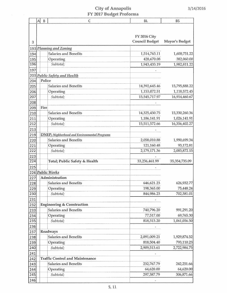# City of Annapolis<br>FY 2017 Budget Proforma

|            | $\overline{\mathsf{A}}$ | $\mathsf B$ | $\mathsf{C}$                                         | BL                       | <b>BS</b>      |
|------------|-------------------------|-------------|------------------------------------------------------|--------------------------|----------------|
|            |                         |             |                                                      |                          |                |
|            |                         |             |                                                      |                          |                |
|            |                         |             |                                                      | <b>FY 2016 City</b>      |                |
| 3          |                         |             |                                                      | <b>Council Budget</b>    | Mayor's Budget |
|            |                         |             | 193 Planning and Zoning                              |                          |                |
| 194        |                         |             | Salaries and Benefits                                | 1,514,763.11             | 1,600,751.22   |
| 195        |                         |             | Operating                                            | 428,670.08               | 382,060.00     |
| 196        |                         |             | Subtotal;                                            | 1,943,433.19             | 1,982,811.22   |
| 197        |                         |             |                                                      |                          |                |
|            |                         |             | 203 Public Safety and Health                         |                          |                |
| 204        |                         | Police      |                                                      |                          |                |
| 205        |                         |             | Salaries and Benefits                                | 14,392,645.46            | 15,795,888.22  |
| 206        |                         |             | Operating                                            | 1,153,072.51             | 1,118,572.45   |
| 207        |                         |             | Subtotal;                                            | 15,545,717.97            | 16,914,460.67  |
| 208        |                         |             |                                                      |                          |                |
| 209        |                         | Fire        |                                                      |                          |                |
| 210        |                         |             | Salaries and Benefits                                | 14,325,430.75            | 15,330,260.36  |
| 211        |                         |             | Operating                                            | 1,186,141.91             | 1,026,141.91   |
| 212        |                         |             | Subtotal;                                            | 15,511,572.66            | 16,356,402.27  |
| 213        |                         |             |                                                      |                          |                |
| 219        |                         |             | <b>DNEP</b> ; Nighborhood and Environmental Programs |                          |                |
| 220        |                         |             | Salaries and Benefits                                | 2,058,010.88             | 1,990,699.34   |
| 221        |                         |             | Operating                                            | 121,160.48               | 93,172.81      |
| 222        |                         |             | Subtotal;                                            | 2,179,171.36             | 2,083,872.15   |
| 223        |                         |             |                                                      | 33,236,461.99            |                |
| 224        |                         |             | Total; Public Safety & Health                        |                          | 35,354,735.09  |
| 225        |                         |             |                                                      |                          |                |
|            |                         |             | 226 Public Works<br>Administration                   |                          |                |
| 227        |                         |             | Salaries and Benefits                                |                          | 626,932.77     |
| 228        |                         |             | Operating                                            | 646,621.23<br>198,365.00 | 75,448.24      |
| 229<br>230 |                         |             | Subtotal;                                            | 844,986.23               | 702,381.01     |
| 231        |                         |             |                                                      |                          |                |
| 232        |                         |             | <b>Engineering &amp; Construction</b>                |                          |                |
| 233        |                         |             | Salaries and Benefits                                | 740,796.20               | 991,291.20     |
| 234        |                         |             | Operating                                            | 77,517.00                | 69,765.30      |
| 235        |                         |             | Subtotal;                                            | 818,313.20               | 1,061,056.50   |
| 236        |                         |             |                                                      |                          |                |
| 237        |                         |             | Roadways                                             |                          |                |
| 238        |                         |             | Salaries and Benefits                                | 2,091,009.21             | 1,929,874.52   |
| 239        |                         |             | Operating                                            | 818,504.40               | 793,110.23     |
| 240        |                         |             | Subtotal;                                            | 2,909,513.61             | 2,722,984.75   |
| 241        |                         |             |                                                      |                          |                |
| 242        |                         |             | <b>Traffic Control and Maintenance</b>               |                          |                |
| 243        |                         |             | Salaries and Benefits                                | 232,767.79               | 242,251.66     |
| 244        |                         |             | Operating                                            | 64,620.00                | 64,620.00      |
| 245        |                         |             | Subtotal;                                            | 297,387.79               | 306,871.66     |
| 246        |                         |             |                                                      |                          |                |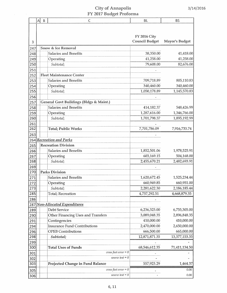#### City of Annapolis 2017 Budget Proforma

|     | $\mathsf{A}$ | $\sf B$ | C                                       | <b>BL</b>             | <b>BS</b>      |
|-----|--------------|---------|-----------------------------------------|-----------------------|----------------|
|     |              |         |                                         |                       |                |
|     |              |         |                                         |                       |                |
|     |              |         |                                         | <b>FY 2016 City</b>   |                |
| 3   |              |         |                                         | <b>Council Budget</b> | Mayor's Budget |
| 247 |              |         | Snow & Ice Removal                      |                       |                |
| 248 |              |         | Salaries and Benefits                   | 38,350.00             | 41,418.00      |
| 249 |              |         | Operating                               | 41,258.00             | 41,258.00      |
| 250 |              |         | Subtotal;                               | 79,608.00             | 82,676.00      |
| 251 |              |         |                                         |                       |                |
| 252 |              |         | <b>Fleet Maintenance Center</b>         |                       |                |
| 253 |              |         | Salaries and Benefits                   | 709,718.89            | 805,110.83     |
| 254 |              |         | Operating                               | 340,460.00            | 340,460.00     |
| 255 |              |         | Subtotal;                               | 1,050,178.89          | 1,145,570.83   |
| 256 |              |         |                                         |                       |                |
| 257 |              |         | General Govt Buildings (Bldgs & Maint.) |                       |                |
| 258 |              |         | Salaries and Benefits                   | 414,182.37            | 548,426.99     |
| 259 |              |         | Operating                               | 1,287,616.00          | 1,346,766.00   |
| 260 |              |         | Subtotal;                               | 1,701,798.37          | 1,895,192.99   |
| 261 |              |         |                                         |                       |                |
| 262 |              |         | <b>Total; Public Works</b>              | 7,701,786.09          | 7,916,733.74   |
| 263 |              |         |                                         |                       |                |
|     |              |         | 264 Recreation and Parks                |                       |                |
| 265 |              |         | <b>Recreation Division</b>              |                       |                |
| 266 |              |         | Salaries and Benefits                   | 1,852,501.06          | 1,978,525.91   |
| 267 |              |         | Operating                               | 603,169.15            | 504,168.00     |
| 268 |              |         | Subtotal;                               | 2,455,670.21          | 2,482,693.91   |
| 269 |              |         |                                         |                       |                |
| 270 |              |         | <b>Parks Division</b>                   |                       |                |
| 271 |              |         | Salaries and Benefits                   | 1,620,672.45          | 1,525,234.44   |
| 272 |              |         | Operating                               | 660,949.85            | 660,951.00     |
| 273 |              |         | Subtotal;                               | 2,281,622.30          | 2,186,185.44   |
| 285 |              |         | Total; Recreation                       | 4,737,292.51          | 4,668,879.35   |
| 286 |              |         |                                         |                       |                |
| 287 |              |         | Non-Allocated Expenditures              |                       |                |
| 289 |              |         | Debt Service                            | 6,236,323.00          | 6,755,305.00   |
| 290 |              |         | Other Financing Uses and Transfers      | 3,089,048.35          | 2,896,848.35   |
| 291 |              |         | Contingencies                           | 410,000.00            | 410,000.00     |
| 294 |              |         | <b>Insurance Fund Contributions</b>     | 2,470,000.00          | 2,650,000.00   |
| 296 |              |         | <b>OPEB Contributions</b>               | 666,500.00            | 665,000.00     |
| 298 |              |         | Subtotal;                               | 12,871,871.35         | 13,377,153.35  |
| 299 |              |         |                                         |                       |                |
| 300 |              |         | <b>Total Uses of Funds</b>              | 68,546,612.35         | 71,411,134.50  |
| 301 |              |         | cross foot $error = 0$                  |                       |                |
| 302 |              |         | source test $= 0$                       |                       |                |
| 303 |              |         | Projected Change in Fund Balance        | 557,923.29            | 1,464.37       |
| 305 |              |         | cross foot $error = 0$                  |                       | 0.00           |
| 306 |              |         | source test $= 0$                       |                       | 0.00           |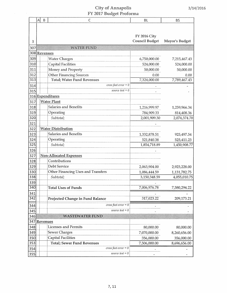#### City of Annapolis 2017 Budget Proforma

| $\mathsf{A}$<br>B<br>$\mathsf{C}$<br><b>BL</b>            | <b>BS</b>      |
|-----------------------------------------------------------|----------------|
|                                                           |                |
| <b>FY 2016 City</b><br><b>Council Budget</b><br>3         | Mayor's Budget |
| <b>WATER FUND</b><br>307                                  |                |
| 308 Revenues                                              |                |
| 309<br><b>Water Charges</b><br>6,750,000.00               | 7,215,467.43   |
| 310<br><b>Capital Facilities</b><br>524,000.00            | 524,000.00     |
| 311<br>Money and Property<br>50,000.00                    | 50,000.00      |
| 312<br><b>Other Financing Sources</b><br>0.00             | 0.00           |
| 313<br><b>Total; Water Fund Revenues</b><br>7,324,000.00  | 7,789,467.43   |
| cross foot $error = 0$<br>314                             |                |
| source test $= 0$<br>315                                  |                |
| 316 Expenditures                                          |                |
| <b>Water Plant</b><br>317                                 |                |
| Salaries and Benefits<br>318<br>1,216,999.97              | 1,259,966.34   |
| 319<br>Operating<br>784,909.33                            | 814,408.36     |
| 320<br>2,001,909.30<br>Subtotal;                          | 2,074,374.70   |
| 321                                                       |                |
| <b>Water Distribution</b><br>322                          |                |
| Salaries and Benefits<br>323<br>1,332,878.51              | 925,497.54     |
| 324<br>Operating<br>521,840.38                            | 525,411.23     |
| 325<br>Subtotal;<br>1,854,718.89                          | 1,450,908.77   |
| 326                                                       |                |
| <b>Non-Allocated Expenses</b><br>327                      |                |
| Contributions<br>328                                      |                |
| Debt Service<br>329<br>2,063,904.00                       | 2,923,228.00   |
| Other Financing Uses and Transfers<br>330<br>1,086,444.59 | 1,131,782.75   |
| 338<br>Subtotal;<br>3,150,348.59                          | 4,055,010.75   |
| 339                                                       |                |
| 340<br>7,006,976.78<br><b>Total Uses of Funds</b>         | 7,580,294.22   |
| 341                                                       |                |
| 342<br>317,023.22<br>Projected Change in Fund Balance     | 209,173.21     |
| $cross foot error = 0$<br>344                             |                |
| source test $= 0$<br>345                                  |                |
| 346<br><b>WASTEWATER FUND</b>                             |                |
| 347 Revenues                                              |                |
| <b>Licenses and Permits</b><br>348<br>80,000.00           | 80,000.00      |
| <b>Sewer Charges</b><br>349<br>7,070,000.00               | 8,260,656.00   |
| Capital Facilities<br>350<br>356,000.00                   | 356,000.00     |
| 353<br>Total; Sewer Fund Revenues<br>7,506,000.00         | 8,696,656.00   |
| cross foot $error = 0$<br>354                             |                |
| source test $= 0$<br>355                                  |                |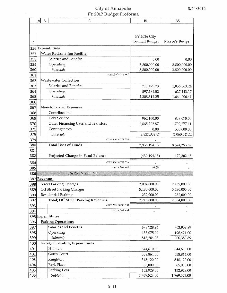#### City of Annapolis 2017 Budget Proforma

 $\mathcal{A}(\mathcal{A})$  and  $\mathcal{A}(\mathcal{A})$ 

|     | A | B        | $\mathsf{C}$                              | BL                    | <b>BS</b>      |
|-----|---|----------|-------------------------------------------|-----------------------|----------------|
|     |   |          |                                           |                       |                |
|     |   |          |                                           |                       |                |
|     |   |          |                                           | <b>FY 2016 City</b>   |                |
| 3   |   |          |                                           | <b>Council Budget</b> | Mayor's Budget |
|     |   |          | 356 Expenditures                          |                       |                |
| 357 |   |          | <b>Water Reclamation Facility</b>         |                       |                |
| 358 |   |          | Salaries and Benefits                     | 0.00                  | 0.00           |
| 359 |   |          | Operating                                 | 3,800,000.00          | 3,800,000.00   |
| 360 |   |          | Subtotal;                                 | 3,800,000.00          | 3,800,000.00   |
| 361 |   |          | cross foot $error = 0$                    |                       |                |
| 362 |   |          | <b>Wastewater Collection</b>              |                       |                |
| 363 |   |          | Salaries and Benefits                     | 711,129.73            | 1,036,863.24   |
| 364 |   |          | Operating                                 | 597,181.52            | 627,143.17     |
| 365 |   |          | Subtotal;                                 | 1,308,311.25          | 1,664,006.41   |
| 366 |   |          |                                           |                       |                |
| 367 |   |          | <b>Non-Allocated Expenses</b>             |                       |                |
| 368 |   |          | Contributions                             |                       |                |
| 369 |   |          | Debt Service                              | 962,160.00            | 858,070.00     |
| 370 |   |          | Other Financing Uses and Transfers        | 1,865,722.87          | 1,702,277.11   |
| 371 |   |          | Contingencies                             | 0.00                  | 500,000.00     |
| 378 |   |          | Subtotal;                                 | 2,827,882.87          | 3,060,347.11   |
| 379 |   |          | $cross foot error = 0$                    |                       |                |
| 380 |   |          | <b>Total Uses of Funds</b>                | 7,936,194.13          | 8,524,353.52   |
| 381 |   |          |                                           |                       |                |
| 382 |   |          | Projected Change in Fund Balance          | (430, 194.13)         | 172,302.48     |
| 384 |   |          | cross foot $error = 0$                    |                       |                |
| 385 |   |          | source test $= 0$                         | (0.00)                |                |
| 386 |   |          | <b>PARKING FUND</b>                       |                       |                |
| 387 |   | Revenues |                                           |                       |                |
| 388 |   |          | <b>Street Parking Charges</b>             | 2,004,000.00          | 2,152,000.00   |
| 389 |   |          | <b>Off Street Parking Charges</b>         | 5,480,000.00          | 5,480,000.00   |
| 390 |   |          | <b>Residential Parking</b>                | 232,000.00            | 232,000.00     |
| 392 |   |          | <b>Total; Off Street Parking Revenues</b> | 7,716,000.00          | 7,864,000.00   |
| 393 |   |          | $cross foot error = 0$                    |                       |                |
| 394 |   |          | source test $= 0$                         |                       |                |
|     |   |          | 395 Expenditures                          |                       |                |
| 396 |   |          | <b>Parking Operations</b>                 |                       |                |
| 397 |   |          | Salaries and Benefits                     | 678,128.94            | 703,959.89     |
| 398 |   |          | Operating                                 | 135,075.09            | 196,421.00     |
| 399 |   |          | Subtotal;                                 | 813,204.03            | 900,380.89     |
| 400 |   |          | <b>Garage Operating Expenditures</b>      |                       |                |
| 401 |   |          | Hillman                                   | 644,610.00            | 644,610.00     |
| 402 |   |          | Gott's Court                              | 558,864.00            | 558,864.00     |
| 403 |   |          | Knighton                                  | 348,120.00            | 348,120.00     |
| 404 |   |          | Park Place                                | 65,000.00             | 65,000.00      |
| 405 |   |          | Parking Lots                              | 152,929.00            | 152,929.00     |
| 406 |   |          | Subtotal;                                 | 1,769,523.00          | 1,769,523.00   |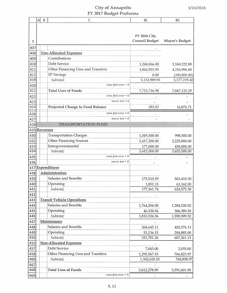### City of Annapolis 2017 Budget Proforma

|     | Α | B            | $\mathsf{C}$                       | BL                    | <b>BS</b>      |
|-----|---|--------------|------------------------------------|-----------------------|----------------|
|     |   |              |                                    |                       |                |
|     |   |              |                                    |                       |                |
|     |   |              |                                    | <b>FY 2016 City</b>   |                |
| 3   |   |              |                                    | <b>Council Budget</b> | Mayor's Budget |
| 407 |   |              |                                    |                       |                |
| 408 |   |              | <b>Non-Allocated Expenses</b>      |                       |                |
| 409 |   |              | Contributions                      |                       |                |
| 410 |   |              | Debt Service                       | 1,268,066.00          | 1,160,222.80   |
| 411 |   |              | Other Financing Uses and Transfers | 3,864,923.95          | 4,216,996.60   |
| 412 |   |              | SP Savings                         | 0.00                  | (200,000.00)   |
| 419 |   |              | Subtotal;                          | 5,132,989.95          | 5,177,219.40   |
| 420 |   |              | cross foot $error = 0$             |                       |                |
| 421 |   |              | <b>Total Uses of Funds</b>         | 7,715,716.98          | 7,847,123.29   |
| 422 |   |              | cross foot $error = 0$             |                       |                |
| 423 |   |              | source test $= 0$                  |                       |                |
| 424 |   |              | Projected Change in Fund Balance   | 283.02                | 16,876.71      |
| 426 |   |              | cross foot $error = 0$             |                       |                |
| 427 |   |              | source test = $0$                  |                       |                |
| 428 |   |              | <b>TRANSPORTATION FUND</b>         |                       |                |
|     |   | 429 Revenues |                                    |                       |                |
| 430 |   |              | <b>Transportation Charges</b>      | 1,019,300.00          | 998,500.00     |
| 432 |   |              | <b>Other Financing Sources</b>     | 2,417,200.00          | 2,225,000.00   |
| 433 |   |              | Intergovernmental                  | 177,000.00            | 430,000.00     |
| 434 |   |              | Subtotal;                          | 3,613,500.00          | 3,653,500.00   |
| 435 |   |              | cross foot $error = 0$             |                       |                |
| 436 |   |              | source test $= 0$                  |                       |                |
| 437 |   |              | Expenditures                       |                       |                |
| 438 |   |              | Administration                     |                       |                |
| 439 |   |              | Salaries and Benefits              | 175,510.59            | 563,410.30     |
| 440 |   |              | Operating                          | 1,851.15              | 61,162.00      |
| 441 |   |              | Subtotal;                          | 177,361.74            | 624,572.30     |
| 442 |   |              |                                    |                       |                |
| 443 |   |              | <b>Transit Vehicle Operations</b>  |                       |                |
| 444 |   |              | Salaries and Benefits              | 1,764,204.00          | 1,284,520.02   |
| 445 |   |              | Operating                          | 46,320.56             | 306,389.50     |
| 446 |   |              | Subtotal;                          | 1,810,524.56          | 1,590,909.52   |
| 447 |   |              | Maintenance                        |                       |                |
| 448 |   |              | Salaries and Benefits              | 268,645.11            | 402,376.11     |
| 449 |   |              | Operating                          | 53,136.15             | 204,885.00     |
| 450 |   |              | Subtotal;                          | 321,781.26            | 607,261.11     |
| 455 |   |              | <b>Non-Allocated Expenses</b>      |                       |                |
| 457 |   |              | Debt Service                       | 7,043.00              | 2,035.00       |
| 458 |   |              | Other Financing Uses and Transfers | 1,295,567.53          | 766,823.97     |
| 466 |   |              | Subtotal;                          | 1,302,610.53          | 768,858.97     |
| 467 |   |              |                                    |                       |                |
| 468 |   |              | <b>Total Uses of Funds</b>         | 3,612,278.09          | 3,591,601.90   |
| 469 |   |              | $cross foot error = 0$             |                       |                |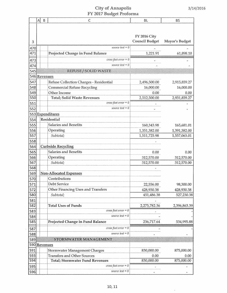#### of Annapolis and the state of  $\frac{3}{14/2016}$ FY 2017 Budget Proforma

|            | $\mathsf{A}$ | B            | C                                       | <b>BL</b>                                    | <b>BS</b>                 |
|------------|--------------|--------------|-----------------------------------------|----------------------------------------------|---------------------------|
|            |              |              |                                         |                                              |                           |
|            |              |              |                                         |                                              |                           |
|            |              |              |                                         | <b>FY 2016 City</b><br><b>Council Budget</b> | Mayor's Budget            |
| 3          |              |              |                                         |                                              |                           |
| 470        |              |              | source test $= 0$                       |                                              |                           |
| 471        |              |              | Projected Change in Fund Balance        | 1,221.91                                     | 61,898.10                 |
| 473        |              |              | cross foot $error = 0$                  |                                              |                           |
| 474        |              |              | source test $= 0$                       |                                              |                           |
| 545        |              | 546 Revenues | <b>REFUSE / SOLID WASTE</b>             |                                              |                           |
| 547        |              |              | Refuse Collection Charges - Residential | 2,496,500.00                                 |                           |
| 548        |              |              | <b>Commercial Refuse Recycling</b>      | 16,000.00                                    | 2,915,859.27<br>16,000.00 |
| 549        |              |              | Other Income                            | 0.00                                         | 0.00                      |
| 550        |              |              | <b>Total; Solid Waste Revenues</b>      | 2,512,500.00                                 | 2,931,859.27              |
| 551        |              |              | cross foot $error = 0$                  |                                              |                           |
| 552        |              |              | source test $= 0$                       |                                              |                           |
|            |              |              | 553 Expenditures                        |                                              |                           |
| 554        |              |              | Residential                             |                                              |                           |
| 555        |              |              | Salaries and Benefits                   | 160,343.98                                   | 165,681.01                |
| 556        |              |              | Operating                               | 1,351,382.00                                 | 1,391,382.00              |
| 557        |              |              | Subtotal;                               | 1,511,725.98                                 | 1,557,063.01              |
| 558        |              |              |                                         |                                              |                           |
| 564        |              |              | <b>Curbside Recycling</b>               |                                              |                           |
| 565        |              |              | Salaries and Benefits                   | 0.00                                         | 0.00                      |
| 566        |              |              | Operating                               | 312,570.00                                   | 312,570.00                |
| 567        |              |              | Subtotal;                               | 312,570.00                                   | 312,570.00                |
| 568        |              |              |                                         |                                              |                           |
| 569        |              |              | <b>Non-Allocated Expenses</b>           |                                              |                           |
| 570        |              |              | Contributions                           |                                              |                           |
| 571        |              |              | Debt Service                            | 22,556.00                                    | 98,300.00                 |
| 572<br>580 |              |              | Other Financing Uses and Transfers      | 428,930.38<br>451,486.38                     | 428,930.38                |
| 581        |              |              | Subtotal;                               |                                              | 527,230.38                |
| 582        |              |              | <b>Total Uses of Funds</b>              | 2,275,782.36                                 | 2,396,863.39              |
| 583        |              |              | cross foot $error = 0$                  |                                              |                           |
| 584        |              |              | source test $= 0$                       |                                              |                           |
| 585        |              |              | Projected Change in Fund Balance        | 236,717.64                                   | 534,995.88                |
| 587        |              |              | cross foot $error = 0$                  |                                              |                           |
| 588        |              |              | source test $= 0$                       |                                              |                           |
| 589        |              |              | STORMWATER MANAGEMENT                   |                                              |                           |
|            |              | 590 Revenues |                                         |                                              |                           |
| 591        |              |              | <b>Stormwater Management Charges</b>    | 830,000.00                                   | 875,000.00                |
| 593        |              |              | <b>Transfers and Other Sources</b>      | 0.00                                         | 0.00                      |
| 594        |              |              | <b>Total; Stormwater Fund Revenues</b>  | 830,000.00                                   | 875,000.00                |
| 595        |              |              | $cross foot error = 0$                  |                                              |                           |
| 596        |              |              | source test $= 0$                       |                                              |                           |

 $\hat{\mathcal{A}}$ 

 $\bar{\tau}$